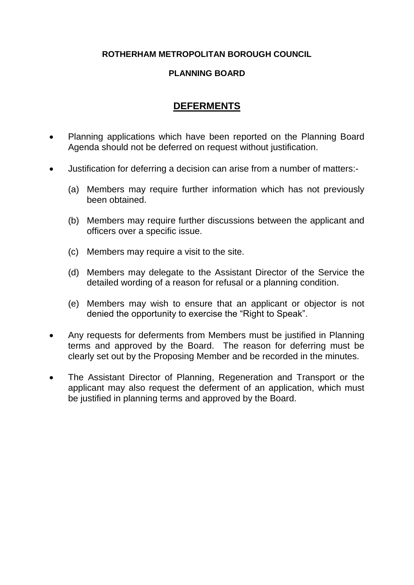## **ROTHERHAM METROPOLITAN BOROUGH COUNCIL**

## **PLANNING BOARD**

## **DEFERMENTS**

- Planning applications which have been reported on the Planning Board Agenda should not be deferred on request without justification.
- Justification for deferring a decision can arise from a number of matters:-
	- (a) Members may require further information which has not previously been obtained.
	- (b) Members may require further discussions between the applicant and officers over a specific issue.
	- (c) Members may require a visit to the site.
	- (d) Members may delegate to the Assistant Director of the Service the detailed wording of a reason for refusal or a planning condition.
	- (e) Members may wish to ensure that an applicant or objector is not denied the opportunity to exercise the "Right to Speak".
- Any requests for deferments from Members must be justified in Planning terms and approved by the Board. The reason for deferring must be clearly set out by the Proposing Member and be recorded in the minutes.
- The Assistant Director of Planning, Regeneration and Transport or the applicant may also request the deferment of an application, which must be justified in planning terms and approved by the Board.